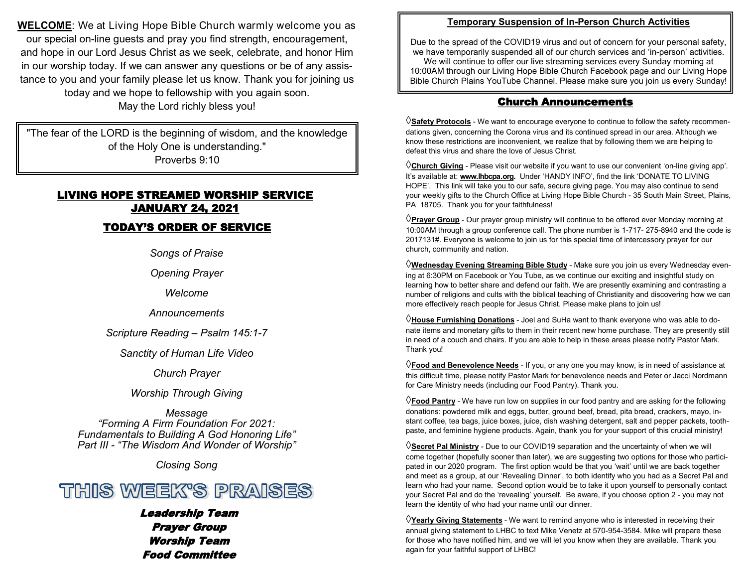**WELCOME**: We at Living Hope Bible Church warmly welcome you as our special on-line guests and pray you find strength, encouragement, and hope in our Lord Jesus Christ as we seek, celebrate, and honor Him in our worship today. If we can answer any questions or be of any assistance to you and your family please let us know. Thank you for joining us today and we hope to fellowship with you again soon. May the Lord richly bless you!

"The fear of the LORD is the beginning of wisdom, and the knowledge of the Holy One is understanding." Proverbs 9:10

# LIVING HOPE STREAMED WORSHIP SERVICE JANUARY 24, 2021

### TODAY'S ORDER OF SERVICE

*Songs of Praise*

*Opening Prayer*

*Welcome*

*Announcements*

*Scripture Reading – Psalm 145:1-7*

*Sanctity of Human Life Video*

*Church Prayer*

### *Worship Through Giving*

*Message "Forming A Firm Foundation For 2021: Fundamentals to Building A God Honoring Life" Part III - "The Wisdom And Wonder of Worship"*

*Closing Song*



### Leadership Team Prayer Group Worship Team Food Committee

### **Temporary Suspension of In-Person Church Activities**

Due to the spread of the COVID19 virus and out of concern for your personal safety, we have temporarily suspended all of our church services and 'in-person' activities. We will continue to offer our live streaming services every Sunday morning at 10:00AM through our Living Hope Bible Church Facebook page and our Living Hope Bible Church Plains YouTube Channel. Please make sure you join us every Sunday!

### Church Announcements

**Safety Protocols** - We want to encourage everyone to continue to follow the safety recommendations given, concerning the Corona virus and its continued spread in our area. Although we know these restrictions are inconvenient, we realize that by following them we are helping to defeat this virus and share the love of Jesus Christ.

**Church Giving** - Please visit our website if you want to use our convenient 'on-line giving app'. It's available at: **www.lhbcpa.org.** Under 'HANDY INFO', find the link 'DONATE TO LIVING HOPE'. This link will take you to our safe, secure giving page. You may also continue to send your weekly gifts to the Church Office at Living Hope Bible Church - 35 South Main Street, Plains, PA 18705. Thank you for your faithfulness!

**Prayer Group** - Our prayer group ministry will continue to be offered ever Monday morning at 10:00AM through a group conference call. The phone number is 1-717- 275-8940 and the code is 2017131#. Everyone is welcome to join us for this special time of intercessory prayer for our church, community and nation.

**Wednesday Evening Streaming Bible Study** - Make sure you join us every Wednesday evening at 6:30PM on Facebook or You Tube, as we continue our exciting and insightful study on learning how to better share and defend our faith. We are presently examining and contrasting a number of religions and cults with the biblical teaching of Christianity and discovering how we can more effectively reach people for Jesus Christ. Please make plans to join us!

**House Furnishing Donations** - Joel and SuHa want to thank everyone who was able to donate items and monetary gifts to them in their recent new home purchase. They are presently still in need of a couch and chairs. If you are able to help in these areas please notify Pastor Mark. Thank you!

**Food and Benevolence Needs** - If you, or any one you may know, is in need of assistance at this difficult time, please notify Pastor Mark for benevolence needs and Peter or Jacci Nordmann for Care Ministry needs (including our Food Pantry). Thank you.

**Food Pantry** - We have run low on supplies in our food pantry and are asking for the following donations: powdered milk and eggs, butter, ground beef, bread, pita bread, crackers, mayo, instant coffee, tea bags, juice boxes, juice, dish washing detergent, salt and pepper packets, toothpaste, and feminine hygiene products. Again, thank you for your support of this crucial ministry!

**Secret Pal Ministry** - Due to our COVID19 separation and the uncertainty of when we will come together (hopefully sooner than later), we are suggesting two options for those who participated in our 2020 program. The first option would be that you 'wait' until we are back together and meet as a group, at our 'Revealing Dinner', to both identify who you had as a Secret Pal and learn who had your name. Second option would be to take it upon yourself to personally contact your Secret Pal and do the 'revealing' yourself. Be aware, if you choose option 2 - you may not learn the identity of who had your name until our dinner.

**Yearly Giving Statements** - We want to remind anyone who is interested in receiving their annual giving statement to LHBC to text Mike Venetz at 570-954-3584. Mike will prepare these for those who have notified him, and we will let you know when they are available. Thank you again for your faithful support of LHBC!